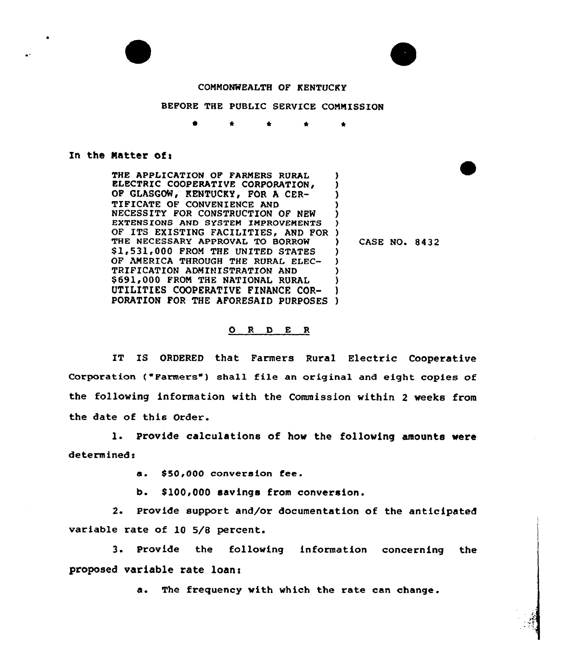



## COMMONWEALTH OF KENTUCKY

## BEFORE THE PUBLIC SERVICE COMMISSION

<sup>0</sup> \* t \*

## In the Matter of:

THE APPLICATION OF FARMERS RURAL ELECTRIC COOPERATIVE CORPORATION, OF GLASGOW, KENTUCKY, FOR A CER-TIFICATE OF CONVENIENCE AND NECESSITY FOR CONSTRUCTION OF NEW EXTENSIONS AND SYSTEM IMPROVEMENTS OF ITS EXISTING FACILITIES'ND FOR ) THE NECESSARY APPROVAL TO BORROW \$1,531,000 FROM THE UNITED STATES OF AMERICA THROUGH THE RURAL ELEC-TRIFICATION ADMINISTRATION AND 069lg000 FROM THE NATIONAL RURAL UTILITIES COOPERATIVE FINANCE COR-PORATION FOR THE AFORESAID PURPOSES ) ) ) ) ) ) ) ) ) ) ) )

) CASE NO. 8432

## O R D E R

IT IS ORDERED that Farmers Rural Electric Cooperative Corporation ("Farmers") shall file an original and eight copies of the following information with the Commission within 2 weeks from the date of this Order.

1. Provide calculations of how the following amounts vere determined:

> \$ 50,000 conversion fee.  $\mathbf{a}$ .

b. \$100,000 savings from conversion.

2. Provide support and/or documentation of the anticipated variable rate of 10 5/8 percent.

3. Provide the following information concerning the proposed variable rate loan:

a. The frequency vith which the rate can change.